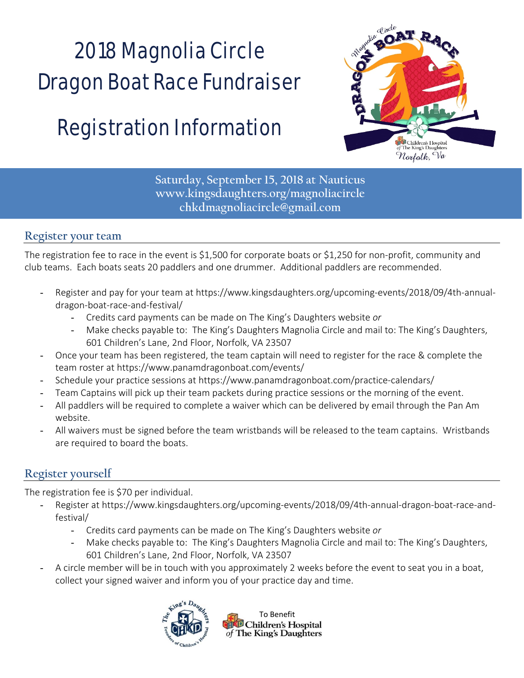# 2018 Magnolia Circle Dragon Boat Race Fundraiser

## Registration Information



**Saturday, September 15, 2018 at Nauticus www.kingsdaughters.org/magnoliacircle chkdmagnoliacircle@gmail.com** 

#### **Register your team**

The registration fee to race in the event is \$1,500 for corporate boats or \$1,250 for non-profit, community and club teams. Each boats seats 20 paddlers and one drummer. Additional paddlers are recommended.

- Register and pay for your team at https://www.kingsdaughters.org/upcoming-events/2018/09/4th-annualdragon‐boat‐race‐and‐festival/
	- Credits card payments can be made on The King's Daughters website *or*
	- Make checks payable to: The King's Daughters Magnolia Circle and mail to: The King's Daughters, 601 Children's Lane, 2nd Floor, Norfolk, VA 23507
- Once your team has been registered, the team captain will need to register for the race & complete the team roster at https://www.panamdragonboat.com/events/
- Schedule your practice sessions at https://www.panamdragonboat.com/practice‐calendars/
- Team Captains will pick up their team packets during practice sessions or the morning of the event.
- All paddlers will be required to complete a waiver which can be delivered by email through the Pan Am website.
- All waivers must be signed before the team wristbands will be released to the team captains. Wristbands are required to board the boats.

#### **Register yourself**

The registration fee is \$70 per individual.

- Register at https://www.kingsdaughters.org/upcoming‐events/2018/09/4th‐annual‐dragon‐boat‐race‐and‐ festival/
	- Credits card payments can be made on The King's Daughters website *or*
	- Make checks payable to: The King's Daughters Magnolia Circle and mail to: The King's Daughters, 601 Children's Lane, 2nd Floor, Norfolk, VA 23507
- A circle member will be in touch with you approximately 2 weeks before the event to seat you in a boat, collect your signed waiver and inform you of your practice day and time.



To Benefit **D** Children's Hospital of The King's Daughters